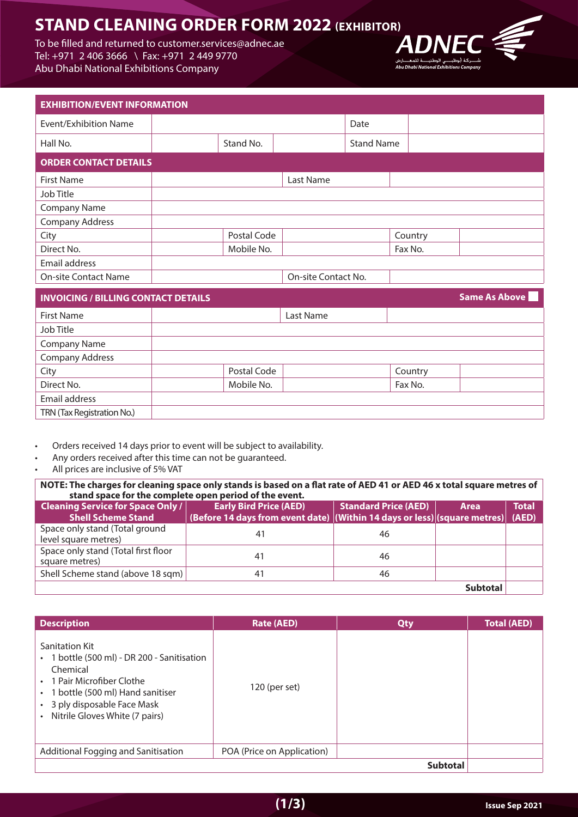## **STAND CLEANING ORDER FORM 2022 (EXHIBITOR)**

To be filled and returned to customer services@adnec.ae Tel: +971 2 406 3666 \ Fax: +971 2 449 9770 Abu Dhabi National Exhibitions Company



| <b>EXHIBITION/EVENT INFORMATION</b>        |             |                     |                   |         |                      |
|--------------------------------------------|-------------|---------------------|-------------------|---------|----------------------|
| Event/Exhibition Name                      |             |                     | Date              |         |                      |
| Hall No.                                   | Stand No.   |                     | <b>Stand Name</b> |         |                      |
| <b>ORDER CONTACT DETAILS</b>               |             |                     |                   |         |                      |
| <b>First Name</b>                          |             | Last Name           |                   |         |                      |
| Job Title                                  |             |                     |                   |         |                      |
| <b>Company Name</b>                        |             |                     |                   |         |                      |
| <b>Company Address</b>                     |             |                     |                   |         |                      |
| City                                       | Postal Code |                     |                   | Country |                      |
| Direct No.                                 | Mobile No.  |                     |                   | Fax No. |                      |
| Email address                              |             |                     |                   |         |                      |
| <b>On-site Contact Name</b>                |             | On-site Contact No. |                   |         |                      |
| <b>INVOICING / BILLING CONTACT DETAILS</b> |             |                     |                   |         | <b>Same As Above</b> |

|             | Last Name |         |
|-------------|-----------|---------|
|             |           |         |
|             |           |         |
|             |           |         |
| Postal Code |           | Country |
| Mobile No.  |           | Fax No. |
|             |           |         |
|             |           |         |
|             |           |         |

- Orders received 14 days prior to event will be subject to availability.
- Any orders received after this time can not be guaranteed.
- All prices are inclusive of 5% VAT

 **NOTE: The charges for cleaning space only stands is based on a flat rate of AED 41 or AED 46 x total square metres of** stand space for the complete open period of the event.

| <b>Cleaning Service for Space Only /</b><br><b>Shell Scheme Stand</b> | <b>Early Bird Price (AED)</b><br>(Before 14 days from event date) $ $ (Within 14 days or less) $ $ (square metres) (AED) | <b>Standard Price (AED)</b> | Area            | Total |
|-----------------------------------------------------------------------|--------------------------------------------------------------------------------------------------------------------------|-----------------------------|-----------------|-------|
| Space only stand (Total ground<br>level square metres)                | 41                                                                                                                       | 46                          |                 |       |
| Space only stand (Total first floor<br>square metres)                 | 41                                                                                                                       | 46                          |                 |       |
| Shell Scheme stand (above 18 sqm)                                     | 41                                                                                                                       | 46                          |                 |       |
|                                                                       |                                                                                                                          |                             | <b>Subtotal</b> |       |

| <b>Description</b>                                                                                                                                                                                                | <b>Rate (AED)</b>          | <b>Qty</b>      | <b>Total (AED)</b> |
|-------------------------------------------------------------------------------------------------------------------------------------------------------------------------------------------------------------------|----------------------------|-----------------|--------------------|
| Sanitation Kit<br>• 1 bottle (500 ml) - DR 200 - Sanitisation<br>Chemical<br>• 1 Pair Microfiber Clothe<br>• 1 bottle (500 ml) Hand sanitiser<br>• 3 ply disposable Face Mask<br>• Nitrile Gloves White (7 pairs) | 120 (per set)              |                 |                    |
| Additional Fogging and Sanitisation                                                                                                                                                                               | POA (Price on Application) |                 |                    |
|                                                                                                                                                                                                                   |                            | <b>Subtotal</b> |                    |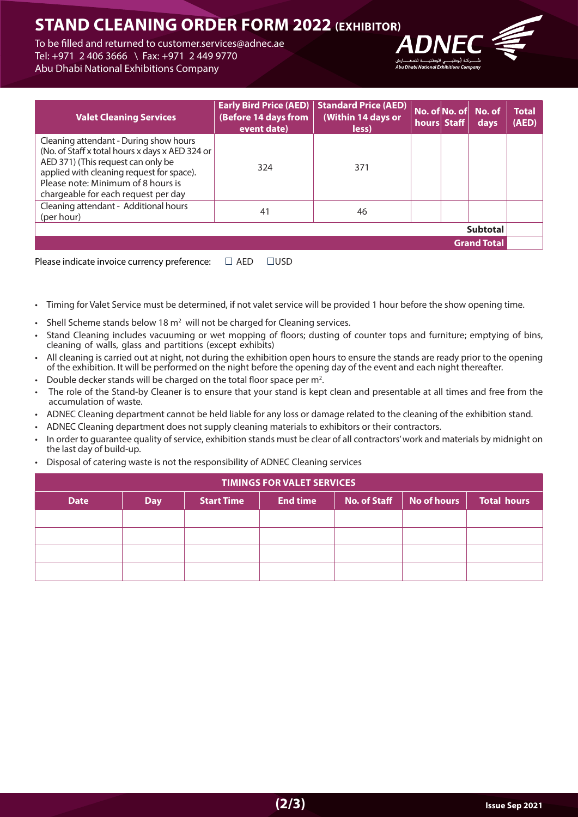## **STAND CLEANING ORDER FORM 2022 (EXHIBITOR)**

To be filled and returned to customer services@adnec.ae Tel: +971 2 406 3666 \ Fax: +971 2 449 9770 Abu Dhabi National Exhibitions Company



| <b>Valet Cleaning Services</b>                                                                                                                                                                                                                            | <b>Early Bird Price (AED)</b><br>(Before 14 days from<br>event date) | <b>Standard Price (AED)</b><br>(Within 14 days or<br>less) | hours Staff | No. of No. of No. of<br>days | <b>Total</b><br>(AED) |
|-----------------------------------------------------------------------------------------------------------------------------------------------------------------------------------------------------------------------------------------------------------|----------------------------------------------------------------------|------------------------------------------------------------|-------------|------------------------------|-----------------------|
| Cleaning attendant - During show hours<br>(No. of Staff x total hours x days x AED 324 or<br>AED 371) (This request can only be<br>applied with cleaning request for space).<br>Please note: Minimum of 8 hours is<br>chargeable for each request per day | 324                                                                  | 371                                                        |             |                              |                       |
| Cleaning attendant - Additional hours<br>(per hour)                                                                                                                                                                                                       | 41                                                                   | 46                                                         |             |                              |                       |
|                                                                                                                                                                                                                                                           |                                                                      |                                                            |             | <b>Subtotal</b>              |                       |
|                                                                                                                                                                                                                                                           |                                                                      |                                                            |             | <b>Grand Total</b>           |                       |

Please indicate invoice currency preference:  $\square$  AED  $\square$ USD

- Timing for Valet Service must be determined, if not valet service will be provided 1 hour before the show opening time.
- Shell Scheme stands below 18  $m<sup>2</sup>$  will not be charged for Cleaning services.
- Stand Cleaning includes vacuuming or wet mopping of floors: dusting of counter tops and furniture; emptying of bins. cleaning of walls, glass and partitions (except exhibits)
- All cleaning is carried out at night, not during the exhibition open hours to ensure the stands are ready prior to the opening of the exhibition. It will be performed on the night before the opening day of the event and each night thereafter.
- Double decker stands will be charged on the total floor space per  $m^2$ .
- The role of the Stand-by Cleaner is to ensure that your stand is kept clean and presentable at all times and free from the accumulation of waste.
- ADNEC Cleaning department cannot be held liable for any loss or damage related to the cleaning of the exhibition stand.
- ADNEC Cleaning department does not supply cleaning materials to exhibitors or their contractors.
- In order to quarantee quality of service, exhibition stands must be clear of all contractors' work and materials by midnight on the last day of build-up.
- Disposal of catering waste is not the responsibility of ADNEC Cleaning services

| <b>TIMINGS FOR VALET SERVICES</b> |            |                   |                 |                     |             |                    |
|-----------------------------------|------------|-------------------|-----------------|---------------------|-------------|--------------------|
| <b>Date</b>                       | <b>Day</b> | <b>Start Time</b> | <b>End time</b> | <b>No. of Staff</b> | No of hours | <b>Total hours</b> |
|                                   |            |                   |                 |                     |             |                    |
|                                   |            |                   |                 |                     |             |                    |
|                                   |            |                   |                 |                     |             |                    |
|                                   |            |                   |                 |                     |             |                    |